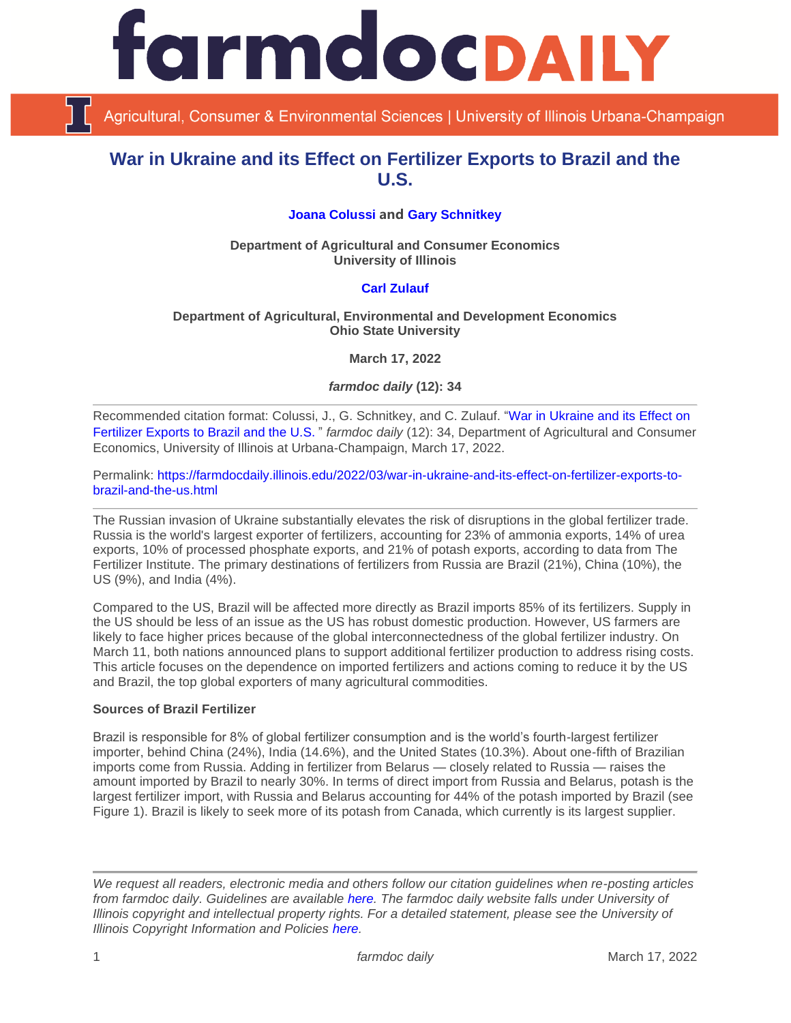

Agricultural, Consumer & Environmental Sciences | University of Illinois Urbana-Champaign

# **War in Ukraine and its Effect on Fertilizer Exports to Brazil and the U.S.**

# **[Joana Colussi](https://www.linkedin.com/in/joana-colussi-7856b3155/) and [Gary Schnitkey](https://ace.illinois.edu/directory/schnitke)**

**Department of Agricultural and Consumer Economics University of Illinois**

# **[Carl Zulauf](http://aede.osu.edu/our-people/carl-zulauf)**

### **Department of Agricultural, Environmental and Development Economics Ohio State University**

**March 17, 2022**

*farmdoc daily* **(12): 34**

Recommended citation format: Colussi, J., G. Schnitkey, and C. Zulauf. ["War in Ukraine and its Effect on](https://farmdocdaily.illinois.edu/2022/03/war-in-ukraine-and-its-effect-on-fertilizer-exports-to-brazil-and-the-us.html)  [Fertilizer Exports to Brazil and the U.S](https://farmdocdaily.illinois.edu/2022/03/war-in-ukraine-and-its-effect-on-fertilizer-exports-to-brazil-and-the-us.html)." *farmdoc daily* (12): 34, Department of Agricultural and Consumer Economics, University of Illinois at Urbana-Champaign, March 17, 2022.

Permalink: [https://farmdocdaily.illinois.edu/2022/03/war-in-ukraine-and-its-effect-on-fertilizer-exports-to](https://farmdocdaily.illinois.edu/2022/03/war-in-ukraine-and-its-effect-on-fertilizer-exports-to-brazil-and-the-us.html)[brazil-and-the-us.html](https://farmdocdaily.illinois.edu/2022/03/war-in-ukraine-and-its-effect-on-fertilizer-exports-to-brazil-and-the-us.html)

The Russian invasion of Ukraine substantially elevates the risk of disruptions in the global fertilizer trade. Russia is the world's largest exporter of fertilizers, accounting for 23% of ammonia exports, 14% of urea exports, 10% of processed phosphate exports, and 21% of potash exports, according to data from The Fertilizer Institute. The primary destinations of fertilizers from Russia are Brazil (21%), China (10%), the US (9%), and India (4%).

Compared to the US, Brazil will be affected more directly as Brazil imports 85% of its fertilizers. Supply in the US should be less of an issue as the US has robust domestic production. However, US farmers are likely to face higher prices because of the global interconnectedness of the global fertilizer industry. On March 11, both nations announced plans to support additional fertilizer production to address rising costs. This article focuses on the dependence on imported fertilizers and actions coming to reduce it by the US and Brazil, the top global exporters of many agricultural commodities.

### **Sources of Brazil Fertilizer**

Brazil is responsible for 8% of global fertilizer consumption and is the world's fourth-largest fertilizer importer, behind China (24%), India (14.6%), and the United States (10.3%). About one-fifth of Brazilian imports come from Russia. Adding in fertilizer from Belarus — closely related to Russia — raises the amount imported by Brazil to nearly 30%. In terms of direct import from Russia and Belarus, potash is the largest fertilizer import, with Russia and Belarus accounting for 44% of the potash imported by Brazil (see Figure 1). Brazil is likely to seek more of its potash from Canada, which currently is its largest supplier.

*We request all readers, electronic media and others follow our citation guidelines when re-posting articles from farmdoc daily. Guidelines are available [here.](http://farmdocdaily.illinois.edu/citationguide.html) The farmdoc daily website falls under University of Illinois copyright and intellectual property rights. For a detailed statement, please see the University of Illinois Copyright Information and Policies [here.](http://www.cio.illinois.edu/policies/copyright/)*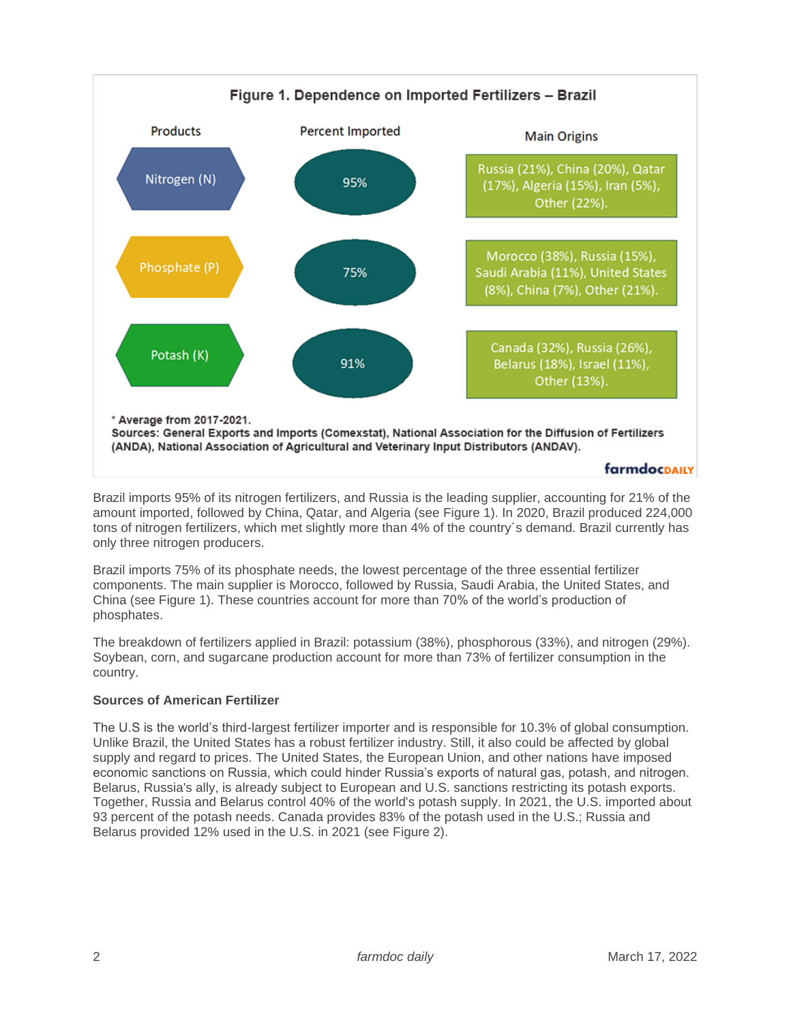

Brazil imports 95% of its nitrogen fertilizers, and Russia is the leading supplier, accounting for 21% of the amount imported, followed by China, Qatar, and Algeria (see Figure 1). In 2020, Brazil produced 224,000 tons of nitrogen fertilizers, which met slightly more than 4% of the country´s demand. Brazil currently has only three nitrogen producers.

Brazil imports 75% of its phosphate needs, the lowest percentage of the three essential fertilizer components. The main supplier is Morocco, followed by Russia, Saudi Arabia, the United States, and China (see Figure 1). These countries account for more than 70% of the world's production of phosphates.

The breakdown of fertilizers applied in Brazil: potassium (38%), phosphorous (33%), and nitrogen (29%). Soybean, corn, and sugarcane production account for more than 73% of fertilizer consumption in the country.

# **Sources of American Fertilizer**

The U.S is the world's third-largest fertilizer importer and is responsible for 10.3% of global consumption. Unlike Brazil, the United States has a robust fertilizer industry. Still, it also could be affected by global supply and regard to prices. The United States, the European Union, and other nations have imposed economic sanctions on Russia, which could hinder Russia's exports of natural gas, potash, and nitrogen. Belarus, Russia's ally, is already subject to European and U.S. sanctions restricting its potash exports. Together, Russia and Belarus control 40% of the world's potash supply. In 2021, the U.S. imported about 93 percent of the potash needs. Canada provides 83% of the potash used in the U.S.; Russia and Belarus provided 12% used in the U.S. in 2021 (see Figure 2).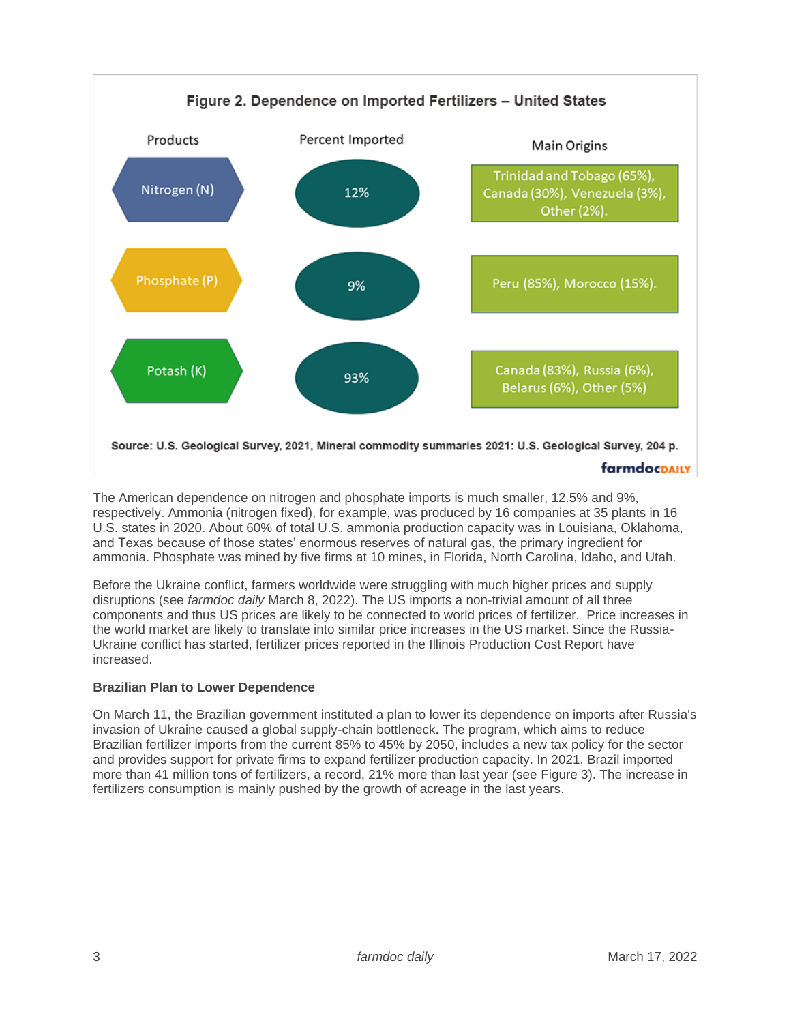

The American dependence on nitrogen and phosphate imports is much smaller, 12.5% and 9%, respectively. Ammonia (nitrogen fixed), for example, was produced by 16 companies at 35 plants in 16 U.S. states in 2020. About 60% of total U.S. ammonia production capacity was in Louisiana, Oklahoma, and Texas because of those states' enormous reserves of natural gas, the primary ingredient for ammonia. Phosphate was mined by five firms at 10 mines, in Florida, North Carolina, Idaho, and Utah.

Before the Ukraine conflict, farmers worldwide were struggling with much higher prices and supply disruptions (see *farmdoc daily* March 8, 2022). The US imports a non-trivial amount of all three components and thus US prices are likely to be connected to world prices of fertilizer. Price increases in the world market are likely to translate into similar price increases in the US market. Since the Russia-Ukraine conflict has started, fertilizer prices reported in the Illinois Production Cost Report have increased.

# **Brazilian Plan to Lower Dependence**

On March 11, the Brazilian government instituted a plan to lower its dependence on imports after Russia's invasion of Ukraine caused a global supply-chain bottleneck. The program, which aims to reduce Brazilian fertilizer imports from the current 85% to 45% by 2050, includes a new tax policy for the sector and provides support for private firms to expand fertilizer production capacity. In 2021, Brazil imported more than 41 million tons of fertilizers, a record, 21% more than last year (see Figure 3). The increase in fertilizers consumption is mainly pushed by the growth of acreage in the last years.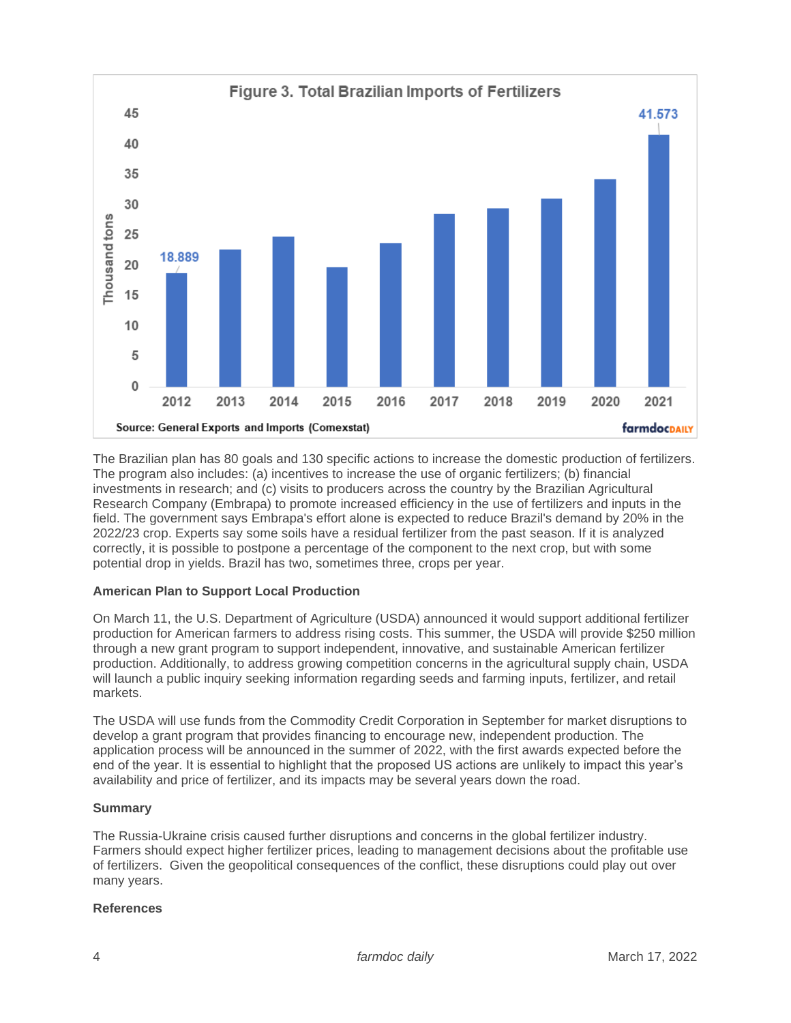

The Brazilian plan has 80 goals and 130 specific actions to increase the domestic production of fertilizers. The program also includes: (a) incentives to increase the use of organic fertilizers; (b) financial investments in research; and (c) visits to producers across the country by the Brazilian Agricultural Research Company (Embrapa) to promote increased efficiency in the use of fertilizers and inputs in the field. The government says Embrapa's effort alone is expected to reduce Brazil's demand by 20% in the 2022/23 crop. Experts say some soils have a residual fertilizer from the past season. If it is analyzed correctly, it is possible to postpone a percentage of the component to the next crop, but with some potential drop in yields. Brazil has two, sometimes three, crops per year.

# **American Plan to Support Local Production**

On March 11, the U.S. Department of Agriculture (USDA) announced it would support additional fertilizer production for American farmers to address rising costs. This summer, the USDA will provide \$250 million through a new grant program to support independent, innovative, and sustainable American fertilizer production. Additionally, to address growing competition concerns in the agricultural supply chain, USDA will launch a public inquiry seeking information regarding seeds and farming inputs, fertilizer, and retail markets.

The USDA will use funds from the Commodity Credit Corporation in September for market disruptions to develop a grant program that provides financing to encourage new, independent production. The application process will be announced in the summer of 2022, with the first awards expected before the end of the year. It is essential to highlight that the proposed US actions are unlikely to impact this year's availability and price of fertilizer, and its impacts may be several years down the road.

# **Summary**

The Russia-Ukraine crisis caused further disruptions and concerns in the global fertilizer industry. Farmers should expect higher fertilizer prices, leading to management decisions about the profitable use of fertilizers. Given the geopolitical consequences of the conflict, these disruptions could play out over many years.

# **References**